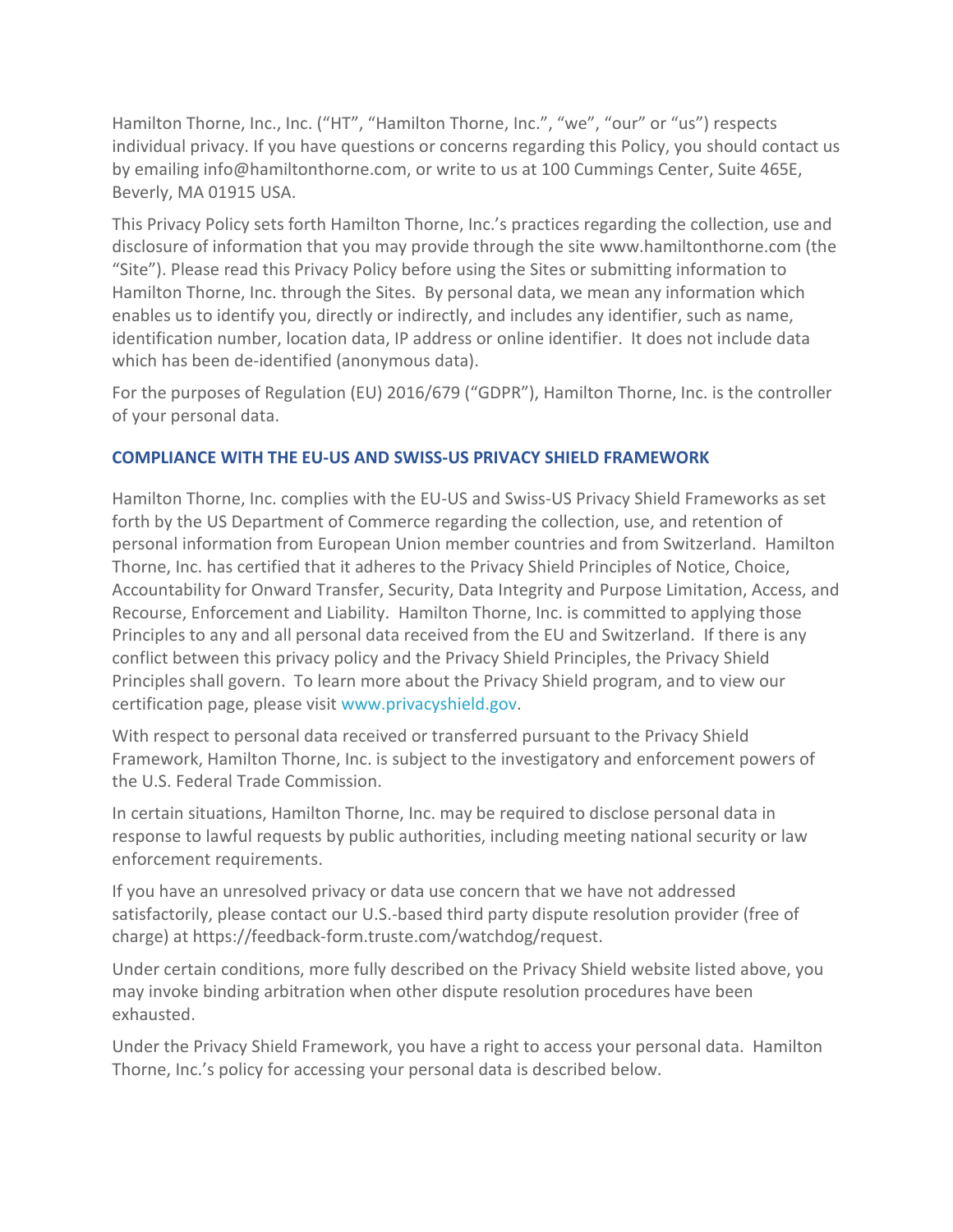Hamilton Thorne, Inc., Inc. ("HT", "Hamilton Thorne, Inc.", "we", "our" or "us") respects individual privacy. If you have questions or concerns regarding this Policy, you should contact us by emailing info@hamiltonthorne.com, or write to us at 100 Cummings Center, Suite 465E, Beverly, MA 01915 USA.

This Privacy Policy sets forth Hamilton Thorne, Inc.'s practices regarding the collection, use and disclosure of information that you may provide through the site www.hamiltonthorne.com (the "Site"). Please read this Privacy Policy before using the Sites or submitting information to Hamilton Thorne, Inc. through the Sites. By personal data, we mean any information which enables us to identify you, directly or indirectly, and includes any identifier, such as name, identification number, location data, IP address or online identifier. It does not include data which has been de-identified (anonymous data).

For the purposes of Regulation (EU) 2016/679 ("GDPR"), Hamilton Thorne, Inc. is the controller of your personal data.

# **COMPLIANCE WITH THE EU-US AND SWISS-US PRIVACY SHIELD FRAMEWORK**

Hamilton Thorne, Inc. complies with the EU-US and Swiss-US Privacy Shield Frameworks as set forth by the US Department of Commerce regarding the collection, use, and retention of personal information from European Union member countries and from Switzerland. Hamilton Thorne, Inc. has certified that it adheres to the Privacy Shield Principles of Notice, Choice, Accountability for Onward Transfer, Security, Data Integrity and Purpose Limitation, Access, and Recourse, Enforcement and Liability. Hamilton Thorne, Inc. is committed to applying those Principles to any and all personal data received from the EU and Switzerland. If there is any conflict between this privacy policy and the Privacy Shield Principles, the Privacy Shield Principles shall govern. To learn more about the Privacy Shield program, and to view our certification page, please visit [www.privacyshield.gov.](http://www.privacyshield.gov/)

With respect to personal data received or transferred pursuant to the Privacy Shield Framework, Hamilton Thorne, Inc. is subject to the investigatory and enforcement powers of the U.S. Federal Trade Commission.

In certain situations, Hamilton Thorne, Inc. may be required to disclose personal data in response to lawful requests by public authorities, including meeting national security or law enforcement requirements.

If you have an unresolved privacy or data use concern that we have not addressed satisfactorily, please contact our U.S.-based third party dispute resolution provider (free of charge) at https://feedback-form.truste.com/watchdog/request.

Under certain conditions, more fully described on the Privacy Shield website listed above, you may invoke binding arbitration when other dispute resolution procedures have been exhausted.

Under the Privacy Shield Framework, you have a right to access your personal data. Hamilton Thorne, Inc.'s policy for accessing your personal data is described below.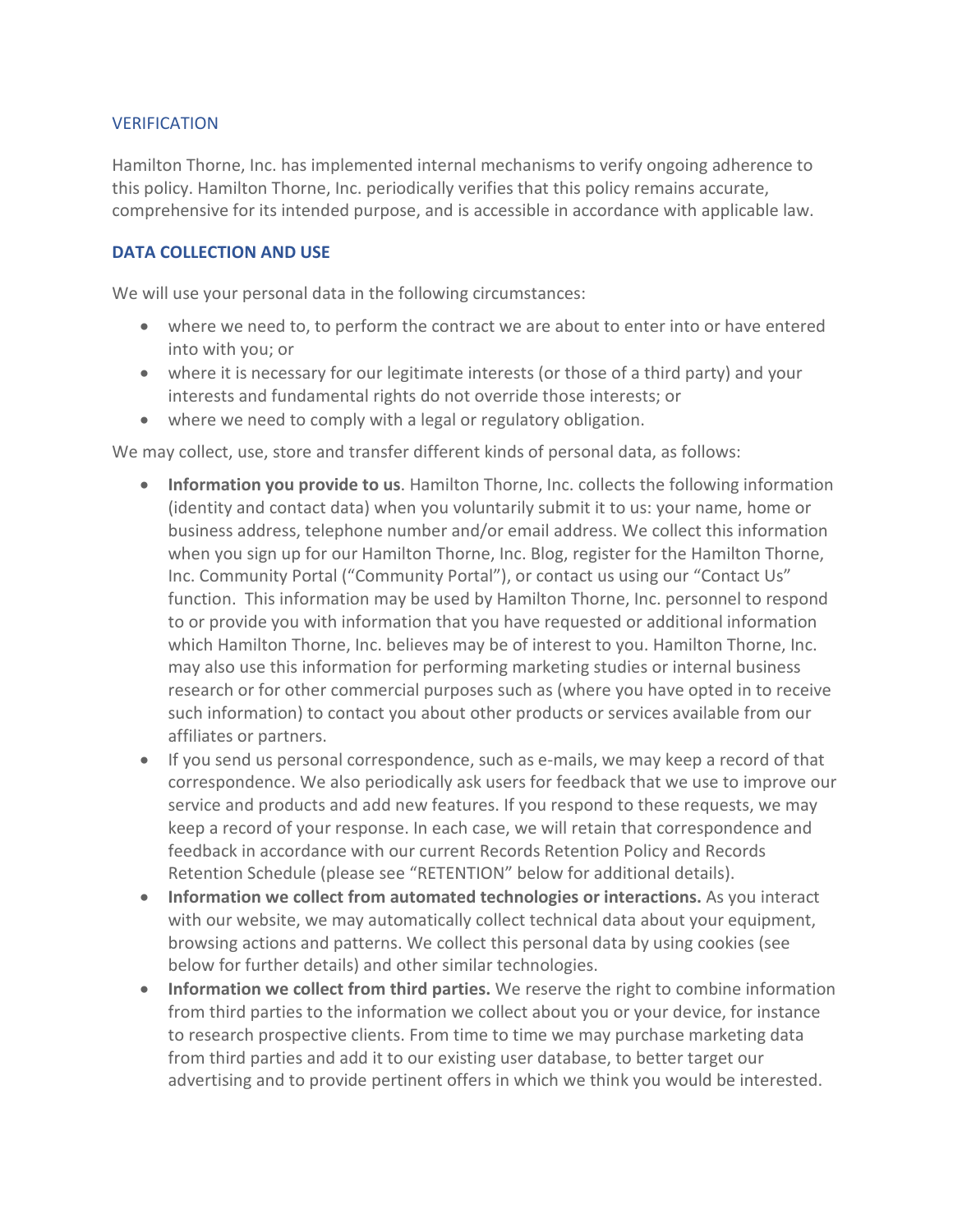#### VERIFICATION

Hamilton Thorne, Inc. has implemented internal mechanisms to verify ongoing adherence to this policy. Hamilton Thorne, Inc. periodically verifies that this policy remains accurate, comprehensive for its intended purpose, and is accessible in accordance with applicable law.

#### **DATA COLLECTION AND USE**

We will use your personal data in the following circumstances:

- where we need to, to perform the contract we are about to enter into or have entered into with you; or
- where it is necessary for our legitimate interests (or those of a third party) and your interests and fundamental rights do not override those interests; or
- where we need to comply with a legal or regulatory obligation.

We may collect, use, store and transfer different kinds of personal data, as follows:

- **Information you provide to us**. Hamilton Thorne, Inc. collects the following information (identity and contact data) when you voluntarily submit it to us: your name, home or business address, telephone number and/or email address. We collect this information when you sign up for our Hamilton Thorne, Inc. Blog, register for the Hamilton Thorne, Inc. Community Portal ("Community Portal"), or contact us using our "Contact Us" function. This information may be used by Hamilton Thorne, Inc. personnel to respond to or provide you with information that you have requested or additional information which Hamilton Thorne, Inc. believes may be of interest to you. Hamilton Thorne, Inc. may also use this information for performing marketing studies or internal business research or for other commercial purposes such as (where you have opted in to receive such information) to contact you about other products or services available from our affiliates or partners.
- If you send us personal correspondence, such as e-mails, we may keep a record of that correspondence. We also periodically ask users for feedback that we use to improve our service and products and add new features. If you respond to these requests, we may keep a record of your response. In each case, we will retain that correspondence and feedback in accordance with our current Records Retention Policy and Records Retention Schedule (please see "RETENTION" below for additional details).
- **Information we collect from automated technologies or interactions.** As you interact with our website, we may automatically collect technical data about your equipment, browsing actions and patterns. We collect this personal data by using cookies (see below for further details) and other similar technologies.
- **Information we collect from third parties.** We reserve the right to combine information from third parties to the information we collect about you or your device, for instance to research prospective clients. From time to time we may purchase marketing data from third parties and add it to our existing user database, to better target our advertising and to provide pertinent offers in which we think you would be interested.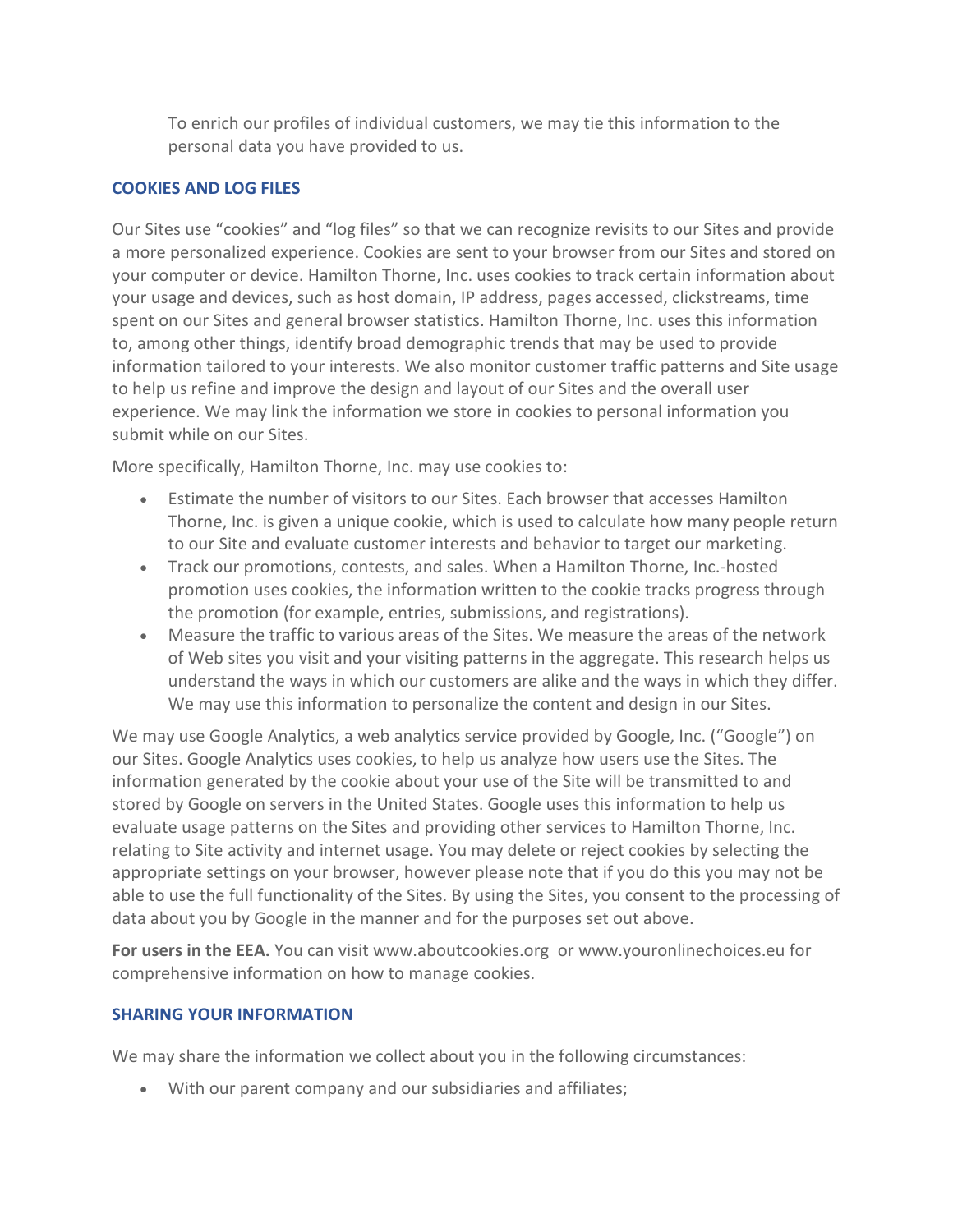To enrich our profiles of individual customers, we may tie this information to the personal data you have provided to us.

#### **COOKIES AND LOG FILES**

Our Sites use "cookies" and "log files" so that we can recognize revisits to our Sites and provide a more personalized experience. Cookies are sent to your browser from our Sites and stored on your computer or device. Hamilton Thorne, Inc. uses cookies to track certain information about your usage and devices, such as host domain, IP address, pages accessed, clickstreams, time spent on our Sites and general browser statistics. Hamilton Thorne, Inc. uses this information to, among other things, identify broad demographic trends that may be used to provide information tailored to your interests. We also monitor customer traffic patterns and Site usage to help us refine and improve the design and layout of our Sites and the overall user experience. We may link the information we store in cookies to personal information you submit while on our Sites.

More specifically, Hamilton Thorne, Inc. may use cookies to:

- Estimate the number of visitors to our Sites. Each browser that accesses Hamilton Thorne, Inc. is given a unique cookie, which is used to calculate how many people return to our Site and evaluate customer interests and behavior to target our marketing.
- Track our promotions, contests, and sales. When a Hamilton Thorne, Inc.-hosted promotion uses cookies, the information written to the cookie tracks progress through the promotion (for example, entries, submissions, and registrations).
- Measure the traffic to various areas of the Sites. We measure the areas of the network of Web sites you visit and your visiting patterns in the aggregate. This research helps us understand the ways in which our customers are alike and the ways in which they differ. We may use this information to personalize the content and design in our Sites.

We may use Google Analytics, a web analytics service provided by Google, Inc. ("Google") on our Sites. Google Analytics uses cookies, to help us analyze how users use the Sites. The information generated by the cookie about your use of the Site will be transmitted to and stored by Google on servers in the United States. Google uses this information to help us evaluate usage patterns on the Sites and providing other services to Hamilton Thorne, Inc. relating to Site activity and internet usage. You may delete or reject cookies by selecting the appropriate settings on your browser, however please note that if you do this you may not be able to use the full functionality of the Sites. By using the Sites, you consent to the processing of data about you by Google in the manner and for the purposes set out above.

**For users in the EEA.** You can visit www.aboutcookies.org or www.youronlinechoices.eu for comprehensive information on how to manage cookies.

# **SHARING YOUR INFORMATION**

We may share the information we collect about you in the following circumstances:

• With our parent company and our subsidiaries and affiliates;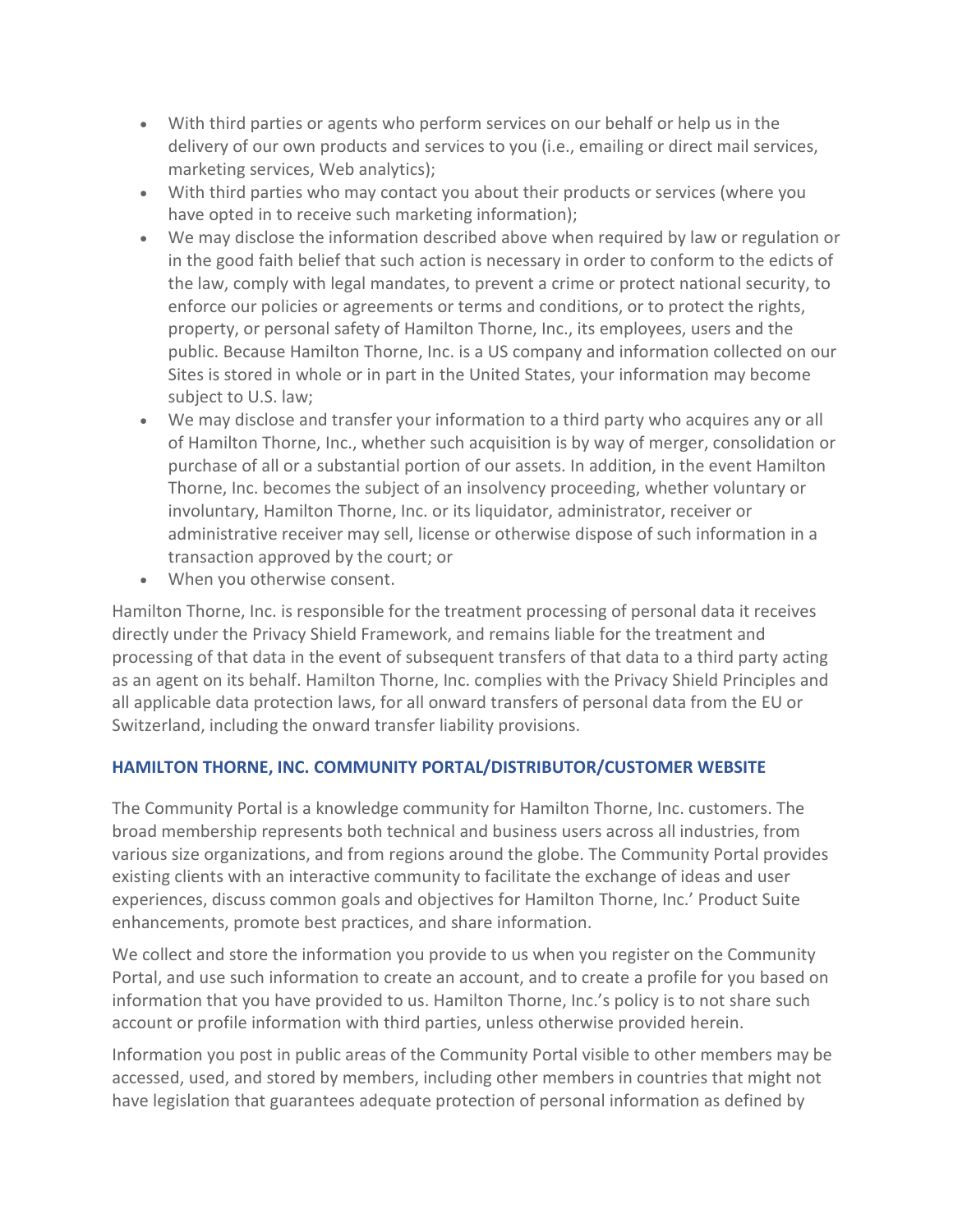- With third parties or agents who perform services on our behalf or help us in the delivery of our own products and services to you (i.e., emailing or direct mail services, marketing services, Web analytics);
- With third parties who may contact you about their products or services (where you have opted in to receive such marketing information);
- We may disclose the information described above when required by law or regulation or in the good faith belief that such action is necessary in order to conform to the edicts of the law, comply with legal mandates, to prevent a crime or protect national security, to enforce our policies or agreements or terms and conditions, or to protect the rights, property, or personal safety of Hamilton Thorne, Inc., its employees, users and the public. Because Hamilton Thorne, Inc. is a US company and information collected on our Sites is stored in whole or in part in the United States, your information may become subject to U.S. law;
- We may disclose and transfer your information to a third party who acquires any or all of Hamilton Thorne, Inc., whether such acquisition is by way of merger, consolidation or purchase of all or a substantial portion of our assets. In addition, in the event Hamilton Thorne, Inc. becomes the subject of an insolvency proceeding, whether voluntary or involuntary, Hamilton Thorne, Inc. or its liquidator, administrator, receiver or administrative receiver may sell, license or otherwise dispose of such information in a transaction approved by the court; or
- When you otherwise consent.

Hamilton Thorne, Inc. is responsible for the treatment processing of personal data it receives directly under the Privacy Shield Framework, and remains liable for the treatment and processing of that data in the event of subsequent transfers of that data to a third party acting as an agent on its behalf. Hamilton Thorne, Inc. complies with the Privacy Shield Principles and all applicable data protection laws, for all onward transfers of personal data from the EU or Switzerland, including the onward transfer liability provisions.

# **HAMILTON THORNE, INC. COMMUNITY PORTAL/DISTRIBUTOR/CUSTOMER WEBSITE**

The Community Portal is a knowledge community for Hamilton Thorne, Inc. customers. The broad membership represents both technical and business users across all industries, from various size organizations, and from regions around the globe. The Community Portal provides existing clients with an interactive community to facilitate the exchange of ideas and user experiences, discuss common goals and objectives for Hamilton Thorne, Inc.' Product Suite enhancements, promote best practices, and share information.

We collect and store the information you provide to us when you register on the Community Portal, and use such information to create an account, and to create a profile for you based on information that you have provided to us. Hamilton Thorne, Inc.'s policy is to not share such account or profile information with third parties, unless otherwise provided herein.

Information you post in public areas of the Community Portal visible to other members may be accessed, used, and stored by members, including other members in countries that might not have legislation that guarantees adequate protection of personal information as defined by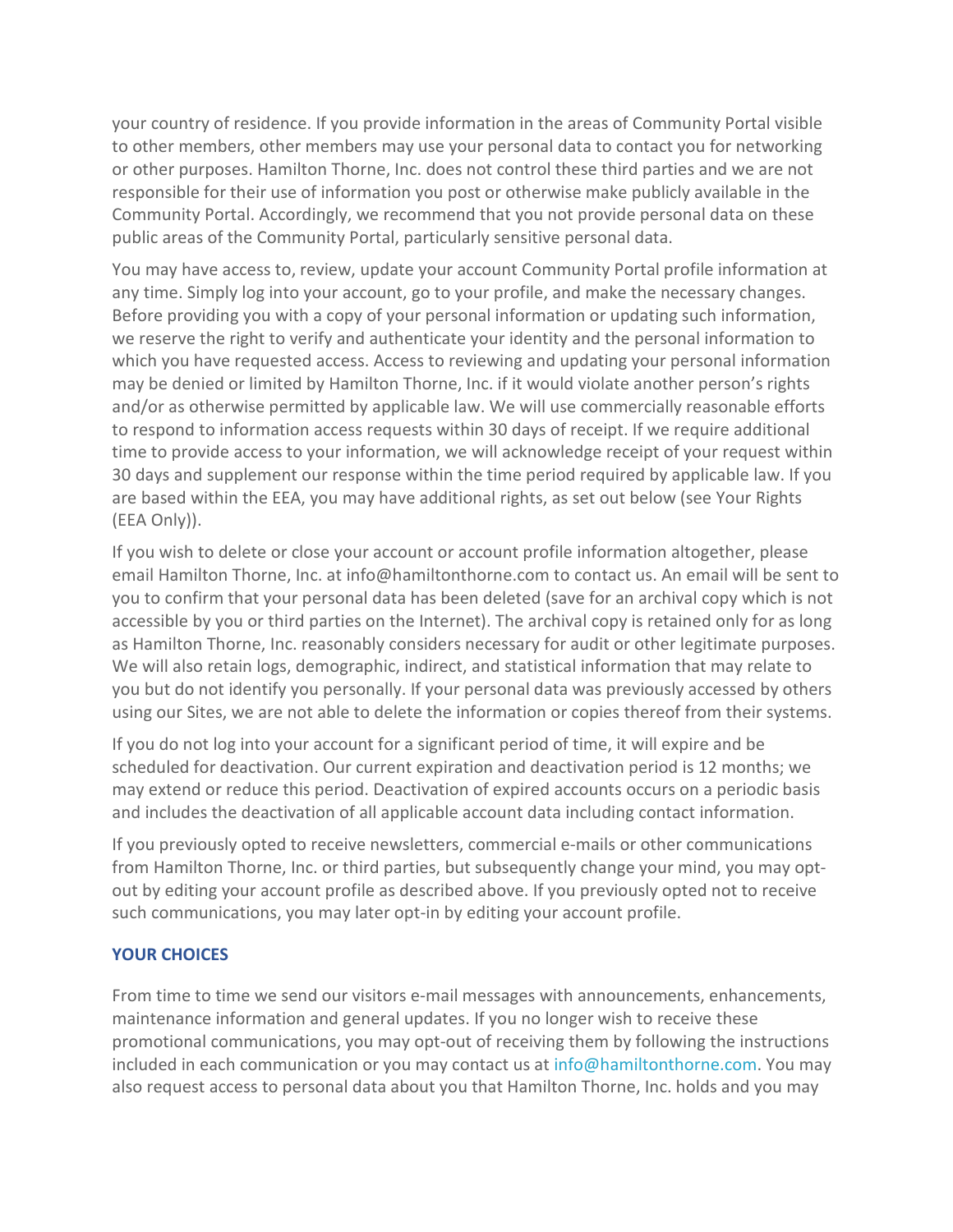your country of residence. If you provide information in the areas of Community Portal visible to other members, other members may use your personal data to contact you for networking or other purposes. Hamilton Thorne, Inc. does not control these third parties and we are not responsible for their use of information you post or otherwise make publicly available in the Community Portal. Accordingly, we recommend that you not provide personal data on these public areas of the Community Portal, particularly sensitive personal data.

You may have access to, review, update your account Community Portal profile information at any time. Simply log into your account, go to your profile, and make the necessary changes. Before providing you with a copy of your personal information or updating such information, we reserve the right to verify and authenticate your identity and the personal information to which you have requested access. Access to reviewing and updating your personal information may be denied or limited by Hamilton Thorne, Inc. if it would violate another person's rights and/or as otherwise permitted by applicable law. We will use commercially reasonable efforts to respond to information access requests within 30 days of receipt. If we require additional time to provide access to your information, we will acknowledge receipt of your request within 30 days and supplement our response within the time period required by applicable law. If you are based within the EEA, you may have additional rights, as set out below (see Your Rights (EEA Only)).

If you wish to delete or close your account or account profile information altogether, please email Hamilton Thorne, Inc. at info@hamiltonthorne.com to contact us. An email will be sent to you to confirm that your personal data has been deleted (save for an archival copy which is not accessible by you or third parties on the Internet). The archival copy is retained only for as long as Hamilton Thorne, Inc. reasonably considers necessary for audit or other legitimate purposes. We will also retain logs, demographic, indirect, and statistical information that may relate to you but do not identify you personally. If your personal data was previously accessed by others using our Sites, we are not able to delete the information or copies thereof from their systems.

If you do not log into your account for a significant period of time, it will expire and be scheduled for deactivation. Our current expiration and deactivation period is 12 months; we may extend or reduce this period. Deactivation of expired accounts occurs on a periodic basis and includes the deactivation of all applicable account data including contact information.

If you previously opted to receive newsletters, commercial e-mails or other communications from Hamilton Thorne, Inc. or third parties, but subsequently change your mind, you may optout by editing your account profile as described above. If you previously opted not to receive such communications, you may later opt-in by editing your account profile.

# **YOUR CHOICES**

From time to time we send our visitors e-mail messages with announcements, enhancements, maintenance information and general updates. If you no longer wish to receive these promotional communications, you may opt-out of receiving them by following the instructions included in each communication or you may contact us at [info@hamiltonthorne.com.](mailto:info@hamiltonthorne.com) You may also request access to personal data about you that Hamilton Thorne, Inc. holds and you may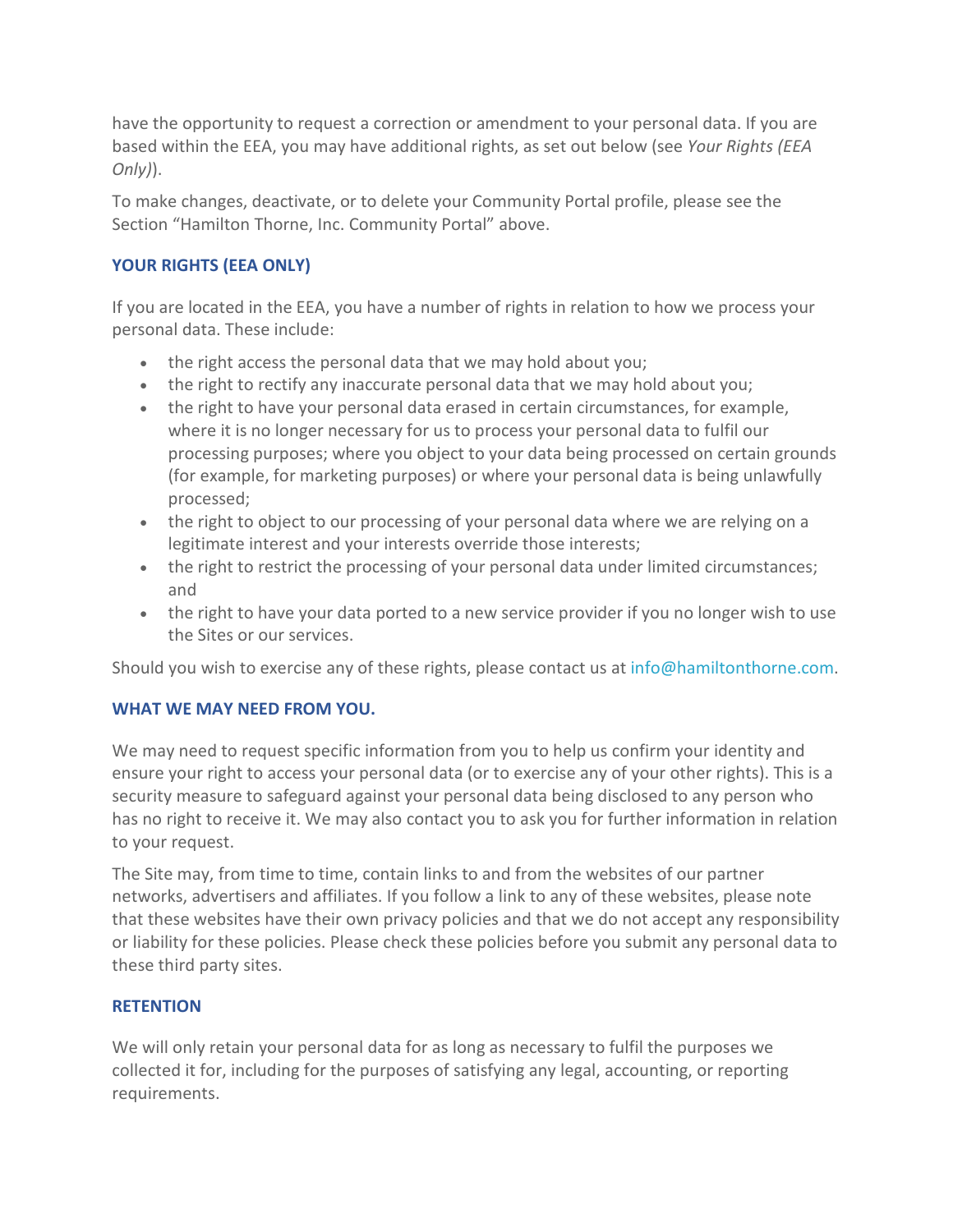have the opportunity to request a correction or amendment to your personal data. If you are based within the EEA, you may have additional rights, as set out below (see *Your Rights (EEA Only)*).

To make changes, deactivate, or to delete your Community Portal profile, please see the Section "Hamilton Thorne, Inc. Community Portal" above.

# **YOUR RIGHTS (EEA ONLY)**

If you are located in the EEA, you have a number of rights in relation to how we process your personal data. These include:

- the right access the personal data that we may hold about you;
- the right to rectify any inaccurate personal data that we may hold about you;
- the right to have your personal data erased in certain circumstances, for example, where it is no longer necessary for us to process your personal data to fulfil our processing purposes; where you object to your data being processed on certain grounds (for example, for marketing purposes) or where your personal data is being unlawfully processed;
- the right to object to our processing of your personal data where we are relying on a legitimate interest and your interests override those interests;
- the right to restrict the processing of your personal data under limited circumstances; and
- the right to have your data ported to a new service provider if you no longer wish to use the Sites or our services.

Should you wish to exercise any of these rights, please contact us at [info@hamiltonthorne.com.](mailto:info@hamiltonthorne.com)

# **WHAT WE MAY NEED FROM YOU.**

We may need to request specific information from you to help us confirm your identity and ensure your right to access your personal data (or to exercise any of your other rights). This is a security measure to safeguard against your personal data being disclosed to any person who has no right to receive it. We may also contact you to ask you for further information in relation to your request.

The Site may, from time to time, contain links to and from the websites of our partner networks, advertisers and affiliates. If you follow a link to any of these websites, please note that these websites have their own privacy policies and that we do not accept any responsibility or liability for these policies. Please check these policies before you submit any personal data to these third party sites.

# **RETENTION**

We will only retain your personal data for as long as necessary to fulfil the purposes we collected it for, including for the purposes of satisfying any legal, accounting, or reporting requirements.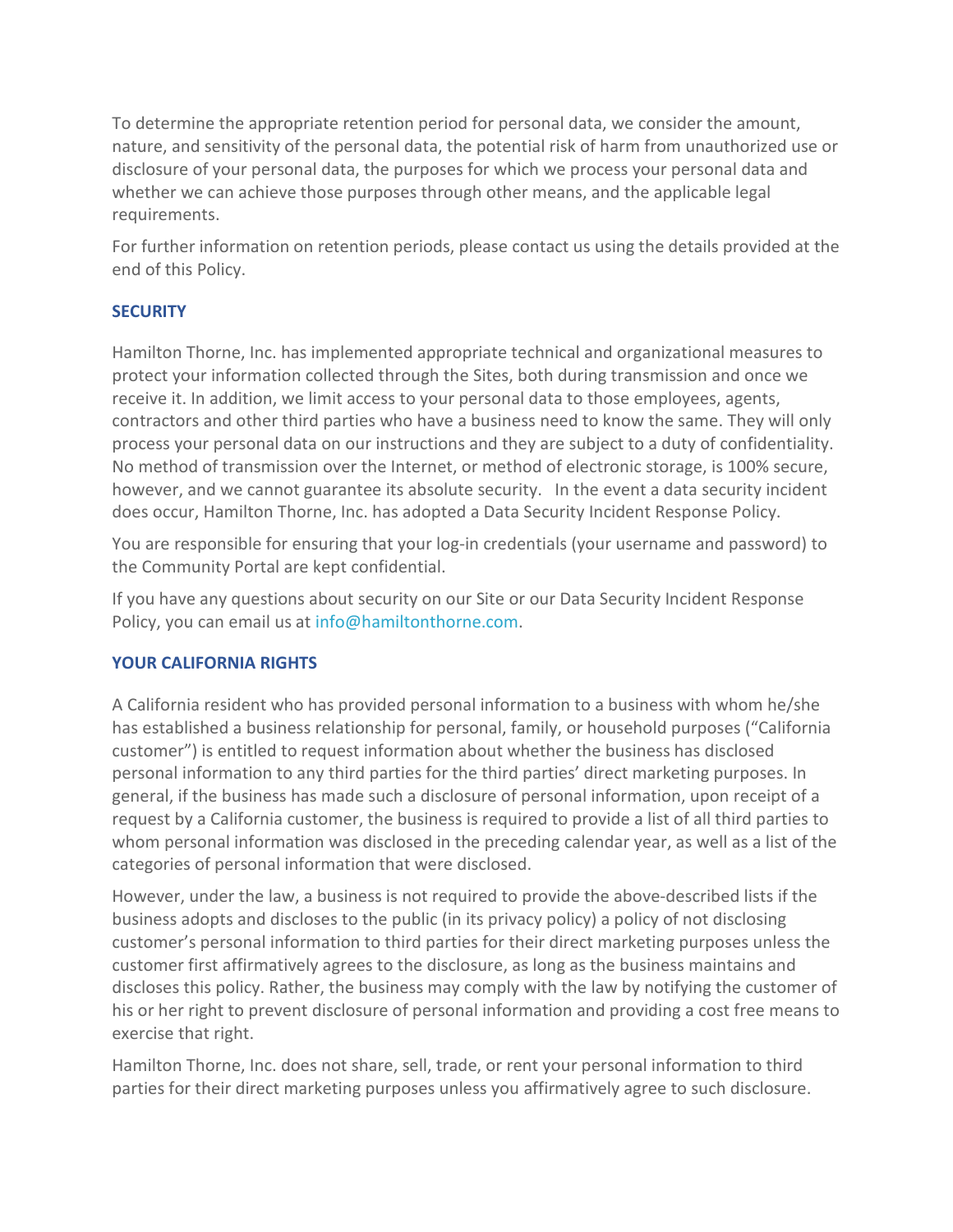To determine the appropriate retention period for personal data, we consider the amount, nature, and sensitivity of the personal data, the potential risk of harm from unauthorized use or disclosure of your personal data, the purposes for which we process your personal data and whether we can achieve those purposes through other means, and the applicable legal requirements.

For further information on retention periods, please contact us using the details provided at the end of this Policy.

# **SECURITY**

Hamilton Thorne, Inc. has implemented appropriate technical and organizational measures to protect your information collected through the Sites, both during transmission and once we receive it. In addition, we limit access to your personal data to those employees, agents, contractors and other third parties who have a business need to know the same. They will only process your personal data on our instructions and they are subject to a duty of confidentiality. No method of transmission over the Internet, or method of electronic storage, is 100% secure, however, and we cannot guarantee its absolute security. In the event a data security incident does occur, Hamilton Thorne, Inc. has adopted a Data Security Incident Response Policy.

You are responsible for ensuring that your log-in credentials (your username and password) to the Community Portal are kept confidential.

If you have any questions about security on our Site or our Data Security Incident Response Policy, you can email us at [info@hamiltonthorne.com.](mailto:info@hamiltonthorne.com)

# **YOUR CALIFORNIA RIGHTS**

A California resident who has provided personal information to a business with whom he/she has established a business relationship for personal, family, or household purposes ("California customer") is entitled to request information about whether the business has disclosed personal information to any third parties for the third parties' direct marketing purposes. In general, if the business has made such a disclosure of personal information, upon receipt of a request by a California customer, the business is required to provide a list of all third parties to whom personal information was disclosed in the preceding calendar year, as well as a list of the categories of personal information that were disclosed.

However, under the law, a business is not required to provide the above-described lists if the business adopts and discloses to the public (in its privacy policy) a policy of not disclosing customer's personal information to third parties for their direct marketing purposes unless the customer first affirmatively agrees to the disclosure, as long as the business maintains and discloses this policy. Rather, the business may comply with the law by notifying the customer of his or her right to prevent disclosure of personal information and providing a cost free means to exercise that right.

Hamilton Thorne, Inc. does not share, sell, trade, or rent your personal information to third parties for their direct marketing purposes unless you affirmatively agree to such disclosure.